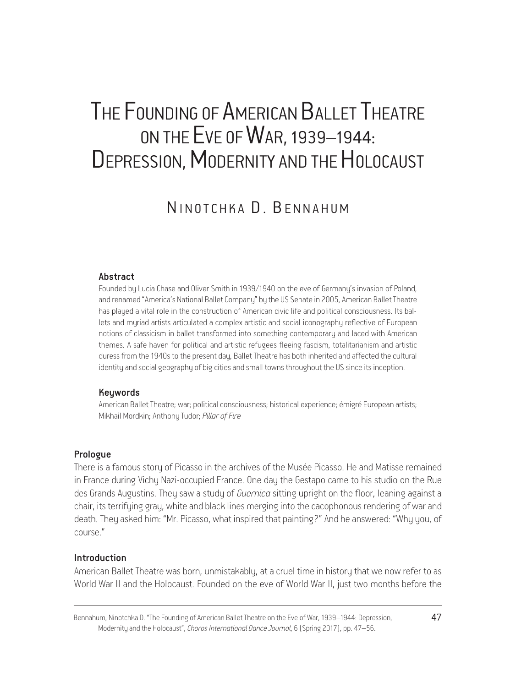# THE FOUNDING OF AMERICAN BALLET THEATRE ON THE EVE OF WAR, 1939–1944: DEPRESSION, MODERNITY AND THE HOLOCAUST

# N IN OTCHKA D. BENNAHIIM

#### Abstract

Founded by Lucia Chase and Oliver Smith in 1939/1940 on the eve of Germany's invasion of Poland, and renamed "America's National Ballet Company" by the US Senate in 2005, American Ballet Theatre has played a vital role in the construction of American civic life and political consciousness. Its ballets and myriad artists articulated a complex artistic and social iconography reflective of European notions of classicism in ballet transformed into something contemporary and laced with American themes. A safe haven for political and artistic refugees fleeing fascism, totalitarianism and artistic duress from the 1940s to the present day, Ballet Theatre has both inherited and affected the cultural identity and social geography of big cities and small towns throughout the US since its inception.

#### Keywords

American Ballet Theatre; war; political consciousness; historical experience; émigré European artists; Mikhail Mordkin; Anthony Tudor; *Pillar of Fire*

#### Prologue

There is a famous story of Picasso in the archives of the Musée Picasso. He and Matisse remained in France during Vichy Nazi-occupied France. One day the Gestapo came to his studio on the Rue des Grands Augustins. They saw a study of *Guernica* sitting upright on the floor, leaning against a chair, its terrifying gray, white and black lines merging into the cacophonous rendering of war and death. They asked him: "Mr. Picasso, what inspired that painting?" And he answered: "Why you, of course."

### Introduction

American Ballet Theatre was born, unmistakably, at a cruel time in history that we now refer to as World War II and the Holocaust. Founded on the eve of World War II, just two months before the

Bennahum, Ninotchka D. "The Founding of American Ballet Theatre on the Eve of War, 1939–1944: Depression, 47 Modernity and the Holocaust", *Choros International Dance Journal*, 6 (Spring 2017), pp. 47–56.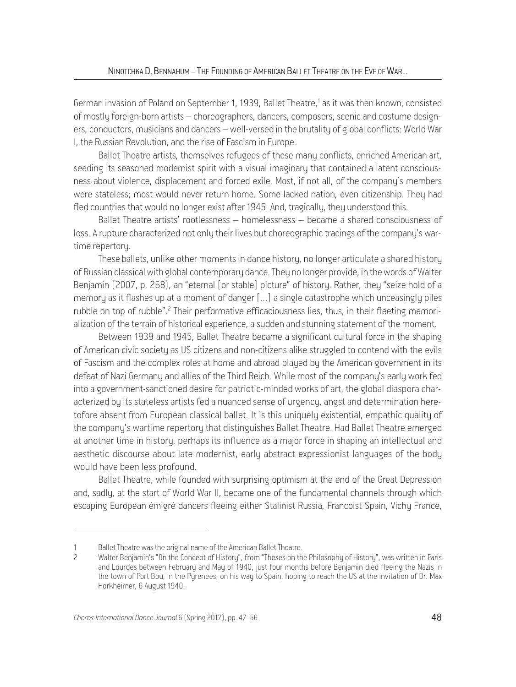German invasion of Poland on September 1, 1939, Ballet Theatre,<sup>1</sup> as it was then known, consisted of mostly foreign-born artists – choreographers, dancers, composers, scenic and costume designers, conductors, musicians and dancers – well-versed in the brutality of global conflicts: World War I, the Russian Revolution, and the rise of Fascism in Europe.

Ballet Theatre artists, themselves refugees of these many conflicts, enriched American art, seeding its seasoned modernist spirit with a visual imaginary that contained a latent consciousness about violence, displacement and forced exile. Most, if not all, of the company's members were stateless; most would never return home. Some lacked nation, even citizenship. Theu had fled countries that would no longer exist after 1945. And, tragically, they understood this.

Ballet Theatre artists' rootlessness – homelessness – became a shared consciousness of loss. A rupture characterized not only their lives but choreographic tracings of the company's wartime repertoru.

These ballets, unlike other moments in dance history, no longer articulate a shared history of Russian classical with global contemporary dance. They no longer provide, in the words of Walter Benjamin (2007, p. 268), an "eternal [or stable] picture" of history. Rather, they "seize hold of a memory as it flashes up at a moment of danger […] a single catastrophe which unceasingly piles rubble on top of rubble".<sup>2</sup> Their performative efficaciousness lies, thus, in their fleeting memorialization of the terrain of historical experience, a sudden and stunning statement of the moment.

Between 1939 and 1945, Ballet Theatre became a significant cultural force in the shaping of American civic society as US citizens and non-citizens alike struggled to contend with the evils of Fascism and the complex roles at home and abroad played by the American government in its defeat of Nazi Germany and allies of the Third Reich. While most of the company's early work fed into a government-sanctioned desire for patriotic-minded works of art, the global diaspora characterized by its stateless artists fed a nuanced sense of urgency, angst and determination heretofore absent from European classical ballet. It is this uniquely existential, empathic quality of the company's wartime repertory that distinguishes Ballet Theatre. Had Ballet Theatre emerged at another time in history, perhaps its influence as a major force in shaping an intellectual and aesthetic discourse about late modernist, early abstract expressionist languages of the body would have been less profound.

Ballet Theatre, while founded with surprising optimism at the end of the Great Depression and, sadly, at the start of World War II, became one of the fundamental channels through which escaping European émigré dancers fleeing either Stalinist Russia, Francoist Spain, Vichy France,

<sup>1</sup> Ballet Theatre was the original name of the American Ballet Theatre.

<sup>2</sup> Walter Benjamin's "On the Concept of History", from "Theses on the Philosophy of History", was written in Paris and Lourdes between February and May of 1940, just four months before Benjamin died fleeing the Nazis in the town of Port Bou, in the Pyrenees, on his way to Spain, hoping to reach the US at the invitation of Dr. Max Horkheimer, 6 August 1940.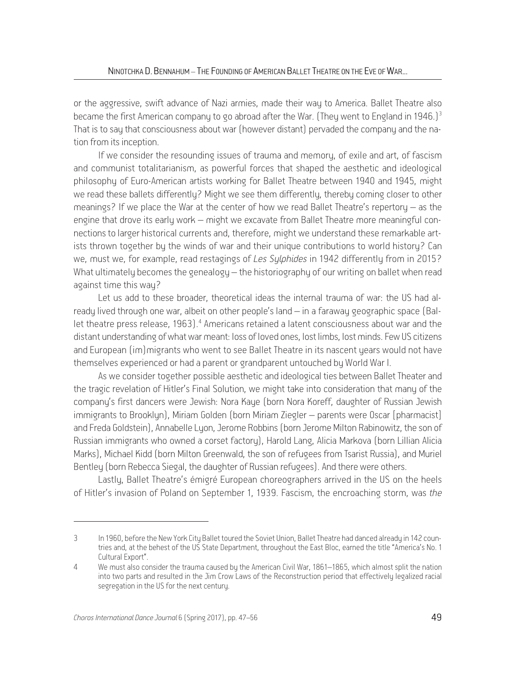or the aggressive, swift advance of Nazi armies, made their way to America. Ballet Theatre also became the first American company to go abroad after the War. (They went to England in 1946.)<sup>3</sup> That is to say that consciousness about war (however distant) pervaded the company and the nation from its inception.

If we consider the resounding issues of trauma and memory, of exile and art, of fascism and communist totalitarianism, as powerful forces that shaped the aesthetic and ideological philosophy of Euro-American artists working for Ballet Theatre between 1940 and 1945, might we read these ballets differently? Might we see them differently, thereby coming closer to other meanings? If we place the War at the center of how we read Ballet Theatre's repertory – as the engine that drove its early work – might we excavate from Ballet Theatre more meaningful connections to larger historical currents and, therefore, might we understand these remarkable artists thrown together bu the winds of war and their unique contributions to world history? Can we, must we, for example, read restagings of *Les Sylphides* in 1942 differently from in 2015? What ultimately becomes the genealogy – the historiography of our writing on ballet when read against time this way?

Let us add to these broader, theoretical ideas the internal trauma of war: the US had already lived through one war, albeit on other people's land – in a faraway geographic space (Ballet theatre press release, 1963). 4 Americans retained a latent consciousness about war and the distant understanding of what war meant: loss of loved ones, lost limbs, lost minds. Few US citizens and European (im)migrants who went to see Ballet Theatre in its nascent years would not have themselves experienced or had a parent or grandparent untouched by World War I.

As we consider together possible aesthetic and ideological ties between Ballet Theater and the tragic revelation of Hitler's Final Solution, we might take into consideration that many of the company's first dancers were Jewish: Nora Kaye (born Nora Koreff, daughter of Russian Jewish immigrants to Brooklyn), Miriam Golden (born Miriam Ziegler – parents were Oscar [pharmacist] and Freda Goldstein), Annabelle Lyon, Jerome Robbins (born Jerome Milton Rabinowitz, the son of Russian immigrants who owned a corset factory), Harold Lang, Alicia Markova (born Lillian Alicia Marks), Michael Kidd (born Milton Greenwald, the son of refugees from Tsarist Russia), and Muriel Bentley (born Rebecca Siegal, the daughter of Russian refugees). And there were others.

Lastly, Ballet Theatre's émigré European choreographers arrived in the US on the heels of Hitler's invasion of Poland on September 1, 1939. Fascism, the encroaching storm, was *the*

<sup>3</sup> In 1960, before the New York City Ballet toured the Soviet Union, Ballet Theatre had danced already in 142 countries and, at the behest of the US State Department, throughout the East Bloc, earned the title "America's No. 1 Cultural Export".

<sup>4</sup> We must also consider the trauma caused by the American Civil War, 1861–1865, which almost split the nation into two parts and resulted in the Jim Crow Laws of the Reconstruction period that effectively legalized racial segregation in the US for the next century.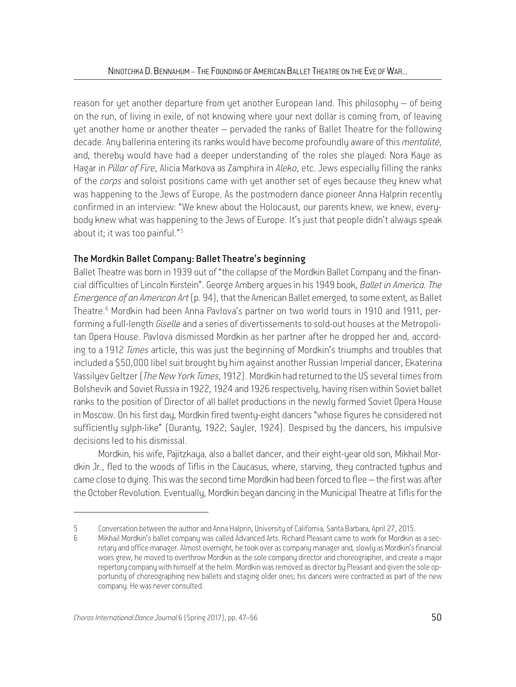reason for yet another departure from yet another European land. This philosophy – of being on the run, of living in exile, of not knowing where your next dollar is coming from, of leaving yet another home or another theater – pervaded the ranks of Ballet Theatre for the following decade. Any ballerina entering its ranks would have become profoundly aware of this *mentalité*, and, thereby would have had a deeper understanding of the roles she played: Nora Kaye as Hagar in *Pillar of Fire*, Alicia Markova as Zamphira in *Aleko*, etc. Jews especially filling the ranks of the *corps* and soloist positions came with yet another set of eyes because they knew what was happening to the Jews of Europe. As the postmodern dance pioneer Anna Halprin recently confirmed in an interview: "We knew about the Holocaust, our parents knew, we knew, everybodu knew what was happening to the Jews of Europe. It's just that people didn't alwaus speak about it; it was too painful."5

# The Mordkin Ballet Company: Ballet Theatre's beginning

Ballet Theatre was born in 1939 out of "the collapse of the Mordkin Ballet Company and the financial difficulties of Lincoln Kirstein". George Amberg argues in his 1949 book, *Ballet in America. The Emergence of an American Art* (p. 94), that the American Ballet emerged, to some extent, as Ballet Theatre.<sup>6</sup> Mordkin had been Anna Pavlova's partner on two world tours in 1910 and 1911, performing a full-length *Giselle* and a series of divertissements to sold-out houses at the Metropolitan Opera House. Pavlova dismissed Mordkin as her partner after he dropped her and, according to a 1912 *Times* article, this was just the beginning of Mordkin's triumphs and troubles that included a \$50,000 libel suit brought by him against another Russian Imperial dancer, Ekaterina Vassilyev Geltzer (*The New York Times*, 1912). Mordkin had returned to the US several times from Bolshevik and Soviet Russia in 1922, 1924 and 1926 respectively, having risen within Soviet ballet ranks to the position of Director of all ballet productions in the newly formed Soviet Opera House in Moscow. On his first day, Mordkin fired twenty-eight dancers "whose figures he considered not sufficiently sylph-like" (Duranty, 1922; Sayler, 1924). Despised by the dancers, his impulsive decisions led to his dismissal.

Mordkin, his wife, Pajitzkaya, also a ballet dancer, and their eight-year old son, Mikhail Mordkin Jr., fled to the woods of Tiflis in the Caucasus, where, starving, they contracted typhus and came close to dying. This was the second time Mordkin had been forced to flee – the first was after the October Revolution. Eventually, Mordkin began dancing in the Municipal Theatre at Tiflis for the

<sup>5</sup> Conversation between the author and Anna Halprin, University of California, Santa Barbara, April 27, 2015.

<sup>6</sup> Mikhail Mordkin's ballet company was called Advanced Arts. Richard Pleasant came to work for Mordkin as a secretary and office manager. Almost overnight, he took over as company manager and, slowly as Mordkin's financial woes grew, he moved to overthrow Mordkin as the sole company director and choreographer, and create a major repertory company with himself at the helm. Mordkin was removed as director by Pleasant and given the sole opportunity of choreographing new ballets and staging older ones; his dancers were contracted as part of the new company. He was never consulted.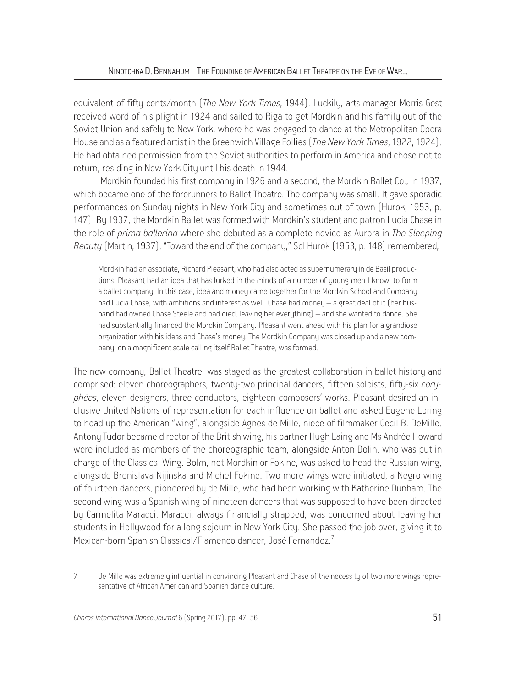equivalent of fifty cents/month (*The New York Times*, 1944). Luckily, arts manager Morris Gest received word of his plight in 1924 and sailed to Riga to get Mordkin and his family out of the Soviet Union and safely to New York, where he was engaged to dance at the Metropolitan Opera House and as a featured artist in the Greenwich Village Follies (*The New York Times*, 1922, 1924). He had obtained permission from the Soviet authorities to perform in America and chose not to return, residing in New York City until his death in 1944.

 Mordkin founded his first company in 1926 and a second, the Mordkin Ballet Co., in 1937, which became one of the forerunners to Ballet Theatre. The company was small. It gave sporadic performances on Sunday nights in New York City and sometimes out of town (Hurok, 1953, p. 147). By 1937, the Mordkin Ballet was formed with Mordkin's student and patron Lucia Chase in the role of *prima ballerina* where she debuted as a complete novice as Aurora in *The Sleeping Beauty* (Martin, 1937). "Toward the end of the company," Sol Hurok (1953, p. 148) remembered,

Mordkin had an associate, Richard Pleasant, who had also acted as supernumerary in de Basil productions. Pleasant had an idea that has lurked in the minds of a number of young men I know: to form a ballet company. In this case, idea and money came together for the Mordkin School and Company had Lucia Chase, with ambitions and interest as well. Chase had money – a great deal of it (her husband had owned Chase Steele and had died, leaving her everything) – and she wanted to dance. She had substantially financed the Mordkin Company. Pleasant went ahead with his plan for a grandiose organization with his ideas and Chase's money. The Mordkin Company was closed up and a new company, on a magnificent scale calling itself Ballet Theatre, was formed.

Τhe new company, Ballet Theatre, was staged as the greatest collaboration in ballet history and comprised: eleven choreographers, twenty-two principal dancers, fifteen soloists, fifty-six *coryphées*, eleven designers, three conductors, eighteen composers' works. Pleasant desired an inclusive United Nations of representation for each influence on ballet and asked Eugene Loring to head up the American "wing", alongside Agnes de Mille, niece of filmmaker Cecil B. DeMille. Antony Tudor became director of the British wing; his partner Hugh Laing and Ms Andrée Howard were included as members of the choreographic team, alongside Anton Dolin, who was put in charge of the Classical Wing. Bolm, not Mordkin or Fokine, was asked to head the Russian wing, alongside Bronislava Nijinska and Michel Fokine. Two more wings were initiated, a Negro wing of fourteen dancers, pioneered by de Mille, who had been working with Katherine Dunham. The second wing was a Spanish wing of nineteen dancers that was supposed to have been directed by Carmelita Maracci. Maracci, always financially strapped, was concerned about leaving her students in Hollywood for a long sojourn in New York City. She passed the job over, giving it to Mexican-born Spanish Classical/Flamenco dancer, José Fernandez.7

<sup>7</sup> De Mille was extremely influential in convincing Pleasant and Chase of the necessity of two more wings representative of African American and Spanish dance culture.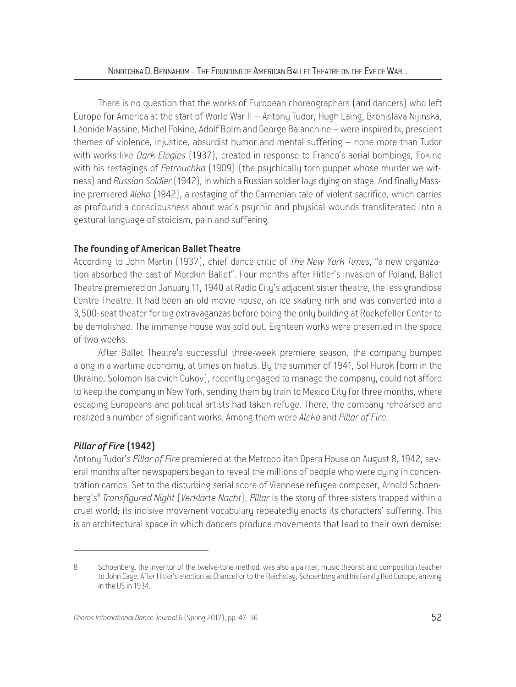There is no question that the works of European choreographers (and dancers) who left Europe for America at the start of World War II – Antony Tudor, Hugh Laing, Bronislava Nijinska, Léonide Massine, Michel Fokine, Adolf Bolm and George Balanchine – were inspired by prescient themes of violence, injustice, absurdist humor and mental suffering – none more than Tudor with works like *Dark Elegies* (1937), created in response to Franco's aerial bombings, Fokine with his restagings of *Petrouchka* (1909) (the psychically torn puppet whose murder we witness) and *Russian Soldier* (1942), in which a Russian soldier lays dying on stage. And finally Massine premiered *Aleko* (1942), a restaging of the Carmenian tale of violent sacrifice, which carries as profound a consciousness about war's psychic and physical wounds transliterated into a gestural language of stoicism, pain and suffering.

# The founding of American Ballet Theatre

According to John Martin (1937), chief dance critic of *The New York Times*, "a new organization absorbed the cast of Mordkin Ballet". Four months after Hitler's invasion of Poland, Ballet Theatre premiered on January 11, 1940 at Radio City's adjacent sister theatre, the less grandiose Centre Theatre. It had been an old movie house, an ice skating rink and was converted into a 3,500-seat theater for big extravaganzas before being the only building at Rockefeller Center to be demolished. The immense house was sold out. Eighteen works were presented in the space of two weeks.

After Ballet Theatre's successful three-week premiere season, the company bumped along in a wartime economy, at times on hiatus. By the summer of 1941, Sol Hurok (born in the Ukraine, Solomon Isaievich Gukov), recently engaged to manage the company, could not afford to keep the company in New York, sending them by train to Mexico City for three months, where escaping Europeans and political artists had taken refuge. There, the company rehearsed and realized a number of significant works. Among them were *Aleko* and *Pillar of Fire*.

# *Pillar of Fire* (1942)

Antony Tudor's *Pillar of Fire* premiered at the Metropolitan Opera House on August 8, 1942, several months after newspapers began to reveal the millions of people who were dying in concentration camps. Set to the disturbing serial score of Viennese refugee composer, Arnold Schoenberg's<sup>8</sup> Transfigured Night (*Verklärte Nacht*), Pillar is the story of three sisters trapped within a cruel world; its incisive movement vocabulary repeatedly enacts its characters' suffering. This is an architectural space in which dancers produce movements that lead to their own demise:

<sup>8</sup> Schoenberg, the inventor of the twelve-tone method, was also a painter, music theorist and composition teacher to John Cage. After Hitler's election as Chancellor to the Reichstag, Schoenberg and his family fled Europe, arriving in the US in 1934.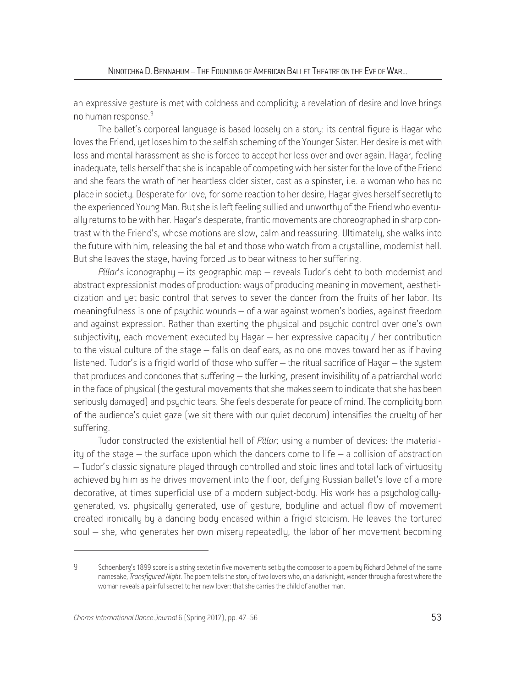an expressive gesture is met with coldness and complicity; a revelation of desire and love brings no human response.<sup>9</sup>

The ballet's corporeal language is based loosely on a story: its central figure is Hagar who loves the Friend, yet loses him to the selfish scheming of the Younger Sister. Her desire is met with loss and mental harassment as she is forced to accept her loss over and over again. Hagar, feeling inadequate, tells herself that she is incapable of competing with her sister for the love of the Friend and she fears the wrath of her heartless older sister, cast as a spinster, i.e. a woman who has no place in society. Desperate for love, for some reaction to her desire, Hagar gives herself secretly to the experienced Young Man. But she is left feeling sullied and unworthy of the Friend who eventually returns to be with her. Hagar's desperate, frantic movements are choreographed in sharp contrast with the Friend's, whose motions are slow, calm and reassuring. Ultimately, she walks into the future with him, releasing the ballet and those who watch from a crystalline, modernist hell. But she leaves the stage, having forced us to bear witness to her suffering.

*Pillar*'s iconography – its geographic map – reveals Tudor's debt to both modernist and abstract expressionist modes of production: ways of producing meaning in movement, aestheticization and yet basic control that serves to sever the dancer from the fruits of her labor. Its meaningfulness is one of psychic wounds – of a war against women's bodies, against freedom and against expression. Rather than exerting the physical and psychic control over one's own subjectivity, each movement executed by Hagar – her expressive capacity / her contribution to the visual culture of the stage – falls on deaf ears, as no one moves toward her as if having listened. Tudor's is a frigid world of those who suffer – the ritual sacrifice of Hagar – the system that produces and condones that suffering – the lurking, present invisibility of a patriarchal world in the face of physical (the gestural movements that she makes seem to indicate that she has been seriously damaged) and psychic tears. She feels desperate for peace of mind. The complicity born of the audience's quiet gaze (we sit there with our quiet decorum) intensifies the cruelty of her suffering.

Tudor constructed the existential hell of *Pillar,* using a number of devices: the materiality of the stage  $-$  the surface upon which the dancers come to life  $-$  a collision of abstraction – Tudor's classic signature played through controlled and stoic lines and total lack of virtuosity achieved by him as he drives movement into the floor, defying Russian ballet's love of a more decorative, at times superficial use of a modern subject-body. His work has a psychologicallygenerated, vs. physically generated, use of gesture, bodyline and actual flow of movement created ironically by a dancing body encased within a frigid stoicism. He leaves the tortured soul – she, who generates her own misery repeatedly, the labor of her movement becoming

<sup>9</sup> Schoenberg's 1899 score is a string sextet in five movements set by the composer to a poem by Richard Dehmel of the same namesake, *Transfigured Night*. The poem tells the story of two lovers who, on a dark night, wander through a forest where the woman reveals a painful secret to her new lover: that she carries the child of another man.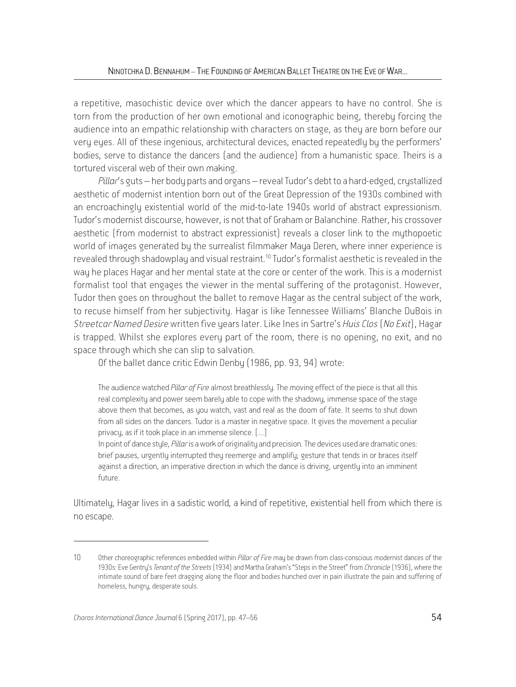a repetitive, masochistic device over which the dancer appears to have no control. She is torn from the production of her own emotional and iconographic being, thereby forcing the audience into an empathic relationship with characters on stage, as they are born before our very eyes. All of these ingenious, architectural devices, enacted repeatedly by the performers' bodies, serve to distance the dancers (and the audience) from a humanistic space. Theirs is a tortured visceral web of their own making.

Pillar's guts – her body parts and organs – reveal Tudor's debt to a hard-edged, crystallized aesthetic of modernist intention born out of the Great Depression of the 1930s combined with an encroachingly existential world of the mid-to-late 1940s world of abstract expressionism. Tudor's modernist discourse, however, is not that of Graham or Balanchine. Rather, his crossover aesthetic (from modernist to abstract expressionist) reveals a closer link to the mythopoetic world of images generated bu the surrealist filmmaker Maua Deren, where inner experience is revealed through shadowplay and visual restraint.<sup>10</sup> Tudor's formalist aesthetic is revealed in the way he places Hagar and her mental state at the core or center of the work. This is a modernist formalist tool that engages the viewer in the mental suffering of the protagonist. However, Tudor then goes on throughout the ballet to remove Hagar as the central subject of the work, to recuse himself from her subjectivity. Hagar is like Tennessee Williams' Blanche DuBois in *Streetcar Named Desire* written five years later. Like Ines in Sartre's *Huis Clos* (*No Exit*), Hagar is trapped. Whilst she explores every part of the room, there is no opening, no exit, and no space through which she can slip to salvation.

Of the ballet dance critic Edwin Denby (1986, pp. 93, 94) wrote:

The audience watched *Pillar of Fire* almost breathlessly. The moving effect of the piece is that all this real complexity and power seem barely able to cope with the shadowy, immense space of the stage above them that becomes, as you watch, vast and real as the doom of fate. It seems to shut down from all sides on the dancers. Tudor is a master in negative space. It gives the movement a peculiar privacy, as if it took place in an immense silence. [...]

In point of dance style, *Pillar* is a work of originality and precision. The devices used are dramatic ones: brief pauses, urgently interrupted they reemerge and amplify; gesture that tends in or braces itself against a direction, an imperative direction in which the dance is driving, urgently into an imminent future.

Ultimately, Hagar lives in a sadistic world, a kind of repetitive, existential hell from which there is no escape.

<sup>10</sup> Other choreographic references embedded within *Pillar of Fire* may be drawn from class-conscious modernist dances of the 1930s: Eve Gentry's *Tenant of the Streets* (1934) and Martha Graham's "Steps in the Street" from *Chronicle* (1936), where the intimate sound of bare feet dragging along the floor and bodies hunched over in pain illustrate the pain and suffering of homeless, hungry, desperate souls.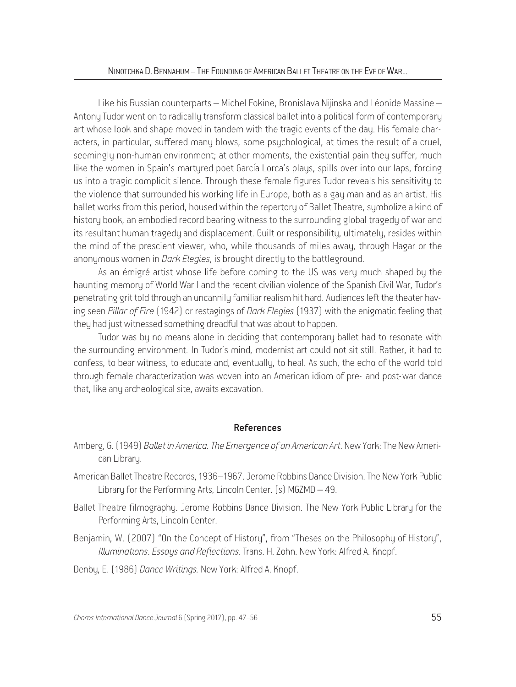Like his Russian counterparts – Michel Fokine, Bronislava Nijinska and Léonide Massine – Antony Tudor went on to radically transform classical ballet into a political form of contemporary art whose look and shape moved in tandem with the tragic events of the day. His female characters, in particular, suffered many blows, some psychological, at times the result of a cruel, seemingly non-human environment; at other moments, the existential pain they suffer, much like the women in Spain's martured poet García Lorca's plaus, spills over into our laps, forcing us into a tragic complicit silence. Through these female figures Tudor reveals his sensitivity to the violence that surrounded his working life in Europe, both as a gay man and as an artist. His ballet works from this period, housed within the repertory of Ballet Theatre, sumbolize a kind of history book, an embodied record bearing witness to the surrounding global tragedy of war and its resultant human tragedy and displacement. Guilt or responsibility, ultimately, resides within the mind of the prescient viewer, who, while thousands of miles away, through Hagar or the anonymous women in *Dark Elegies*, is brought directly to the battleground.

As an émigré artist whose life before coming to the US was very much shaped by the haunting memory of World War I and the recent civilian violence of the Spanish Civil War, Tudor's penetrating grit told through an uncannily familiar realism hit hard. Audiences left the theater having seen *Pillar of Fire* (1942) or restagings of *Dark Elegies* (1937) with the enigmatic feeling that they had just witnessed something dreadful that was about to happen.

Tudor was by no means alone in deciding that contemporary ballet had to resonate with the surrounding environment. In Tudor's mind, modernist art could not sit still. Rather, it had to confess, to bear witness, to educate and, eventually, to heal. As such, the echo of the world told through female characterization was woven into an American idiom of pre- and post-war dance that, like any archeological site, awaits excavation.

# References

- Amberg, G. (1949) *Ballet in America. The Emergence of an American Art*. New York: The New American Library.
- American Ballet Theatre Records, 1936–1967. Jerome Robbins Dance Division. The New York Public Library for the Performing Arts, Lincoln Center. (s) MGZMD – 49.
- Ballet Theatre filmography. Jerome Robbins Dance Division. The New York Public Library for the Performing Arts, Lincoln Center.
- Benjamin, W. (2007) "On the Concept of History", from "Theses on the Philosophy of History", *Illuminations*. *Essays and Reflections*. Trans. H. Zohn. New York: Alfred A. Knopf.

Denby, E. (1986) *Dance Writings.* New York: Alfred A. Knopf.